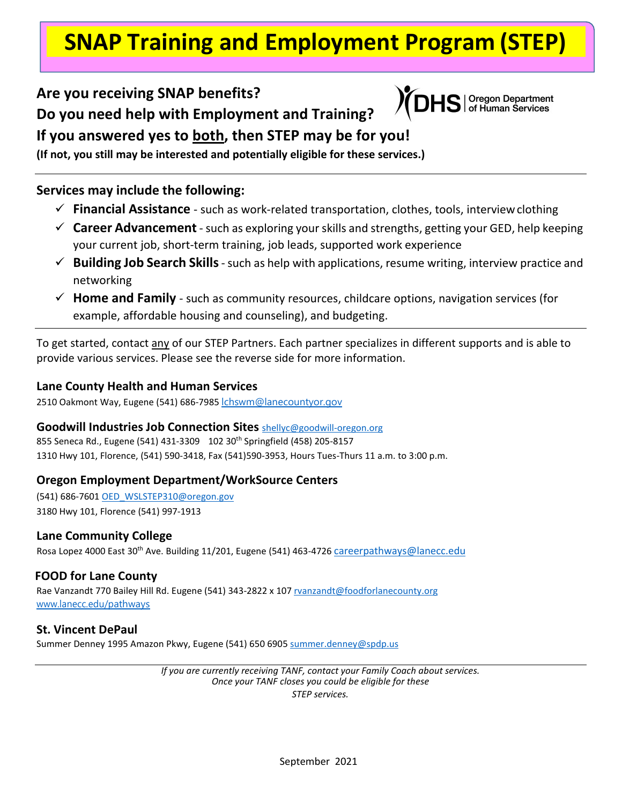# **SNAP Training and Employment Program (STEP)**

### **Are you receiving SNAP benefits?**

**Do you need help with Employment and Training?**



Oregon Department<br>of Human Services

**If you answered yes to both, then STEP may be for you!** 

**(If not, you still may be interested and potentially eligible for these services.)**

#### **Services may include the following:**

- **Financial Assistance**  such as work-related transportation, clothes, tools, interviewclothing
- $\checkmark$  **Career Advancement** such as exploring your skills and strengths, getting your GED, help keeping your current job, short-term training, job leads, supported work experience
- **Building Job Search Skills**-such as help with applications, resume writing, interview practice and networking
- **Home and Family**  such as community resources, childcare options, navigation services (for example, affordable housing and counseling), and budgeting.

To get started, contact any of our STEP Partners. Each partner specializes in different supports and is able to provide various services. Please see the reverse side for more information.

#### **Lane County Health and Human Services**

2510 Oakmont Way, Eugene (541) 686-7985 chswm@lanecountyor.gov

#### **Goodwill Industries Job Connection Sites** [shellyc@goodwill-oregon.org](mailto:shellyc@goodwill-oregon.org)

855 Seneca Rd., Eugene (541) 431-3309 102 30th Springfield (458) 205-8157 1310 Hwy 101, Florence, (541) 590-3418, Fax (541)590-3953, Hours Tues-Thurs 11 a.m. to 3:00 p.m.

#### **Oregon Employment Department/WorkSource Centers**

(541) 686-7601 [OED\\_WSLSTEP310@oregon.gov](mailto:OED_WSLSTEP310@oregon.gov) 3180 Hwy 101, Florence (541) 997-1913

#### **Lane Community College**

Rosa Lopez 4000 East 30th Ave. Building 11/201, Eugene (541) 463-4726 [careerpathways@lanecc.edu](mailto:careerpathways@lanecc.edu)

#### **FOOD for Lane County**

Rae Vanzandt 770 Bailey Hill Rd. Eugene (541) 343-2822 x 10[7 rvanzandt@foodforlanecounty.org](mailto:rvanzandt@foodforlanecounty.org) [www.lanecc.edu/pathways](http://www.lanecc.edu/pathways)

#### **St. Vincent DePaul**

Summer Denney 1995 Amazon Pkwy, Eugene (541) 650 6905 summer.denney@spdp.us

*If you are currently receiving TANF, contact your Family Coach about services. Once your TANF closes you could be eligible for these STEP services.*